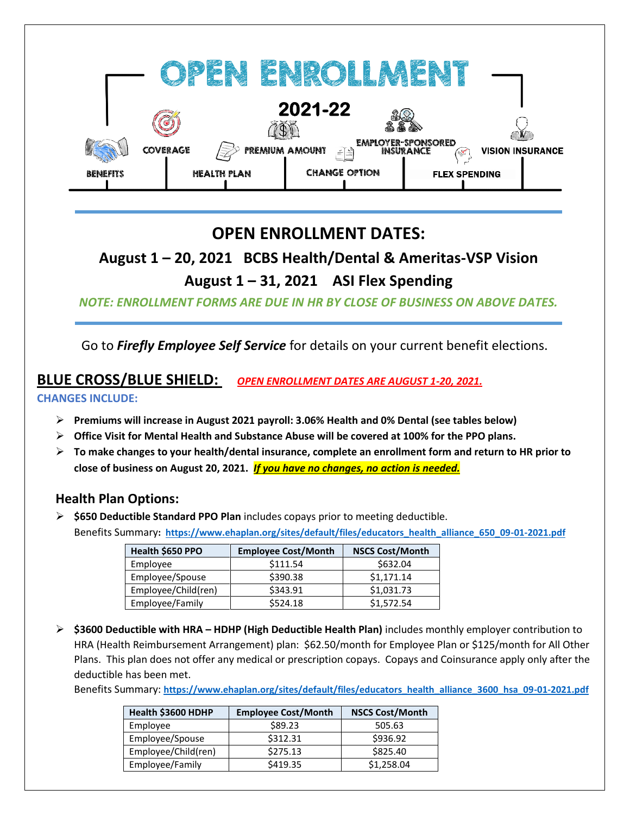|                 |                 |                                             | 2021-22                        | ä  |                                                             |                      | $\mathbb{N}$            |
|-----------------|-----------------|---------------------------------------------|--------------------------------|----|-------------------------------------------------------------|----------------------|-------------------------|
| <b>BENEFITS</b> | <b>COVERAGE</b> | <b>PREMIUM AMOUNT</b><br><b>HEALTH PLAN</b> | $\leq$<br><b>CHANGE OPTION</b> | ুঁ | <b>EMPLOYER-SPONSORED</b><br><b>INSURANCE</b><br>$\sqrt{2}$ | <b>FLEX SPENDING</b> | <b>VISION INSURANCE</b> |

# **OPEN ENROLLMENT DATES:**

**August 1 – 20, 2021 BCBS Health/Dental & Ameritas-VSP Vision**

# **August 1 – 31, 2021 ASI Flex Spending**

*NOTE: ENROLLMENT FORMS ARE DUE IN HR BY CLOSE OF BUSINESS ON ABOVE DATES.*

Go to *Firefly Employee Self Service* for details on your current benefit elections.

## **BLUE CROSS/BLUE SHIELD:** *OPEN ENROLLMENT DATES ARE AUGUST 1-20, 2021.*

#### **CHANGES INCLUDE:**

- ➢ **Premiums will increase in August 2021 payroll: 3.06% Health and 0% Dental (see tables below)**
- ➢ **Office Visit for Mental Health and Substance Abuse will be covered at 100% for the PPO plans.**
- ➢ **To make changes to your health/dental insurance, complete an enrollment form and return to HR prior to close of business on August 20, 2021.** *If you have no changes, no action is needed.*

### **Health Plan Options:**

➢ **\$650 Deductible Standard PPO Plan** includes copays prior to meeting deductible.

Benefits Summary**: [https://www.ehaplan.org/sites/default/files/educators\\_health\\_alliance\\_650\\_09-01-2021.pdf](https://www.ehaplan.org/sites/default/files/educators_health_alliance_650_09-01-2021.pdf)**

| Health \$650 PPO    | <b>Employee Cost/Month</b> | <b>NSCS Cost/Month</b> |
|---------------------|----------------------------|------------------------|
| Employee            | \$111.54                   | \$632.04               |
| Employee/Spouse     | \$390.38                   | \$1,171.14             |
| Employee/Child(ren) | \$343.91                   | \$1,031.73             |
| Employee/Family     | \$524.18                   | \$1,572.54             |

➢ **\$3600 Deductible with HRA – HDHP (High Deductible Health Plan)** includes monthly employer contribution to HRA (Health Reimbursement Arrangement) plan: \$62.50/month for Employee Plan or \$125/month for All Other Plans. This plan does not offer any medical or prescription copays. Copays and Coinsurance apply only after the deductible has been met.

Benefits Summary: **[https://www.ehaplan.org/sites/default/files/educators\\_health\\_alliance\\_3600\\_hsa\\_09-01-2021.pdf](https://www.ehaplan.org/sites/default/files/educators_health_alliance_3600_hsa_09-01-2021.pdf)**

| Health \$3600 HDHP  | <b>Employee Cost/Month</b> | <b>NSCS Cost/Month</b> |
|---------------------|----------------------------|------------------------|
| Employee            | \$89.23                    | 505.63                 |
| Employee/Spouse     | \$312.31                   | \$936.92               |
| Employee/Child(ren) | \$275.13                   | \$825.40               |
| Employee/Family     | \$419.35                   | \$1,258.04             |